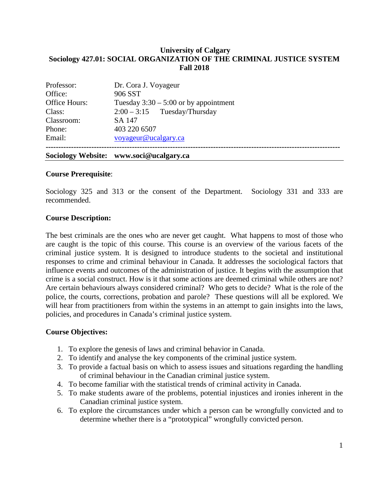## **University of Calgary Sociology 427.01: SOCIAL ORGANIZATION OF THE CRIMINAL JUSTICE SYSTEM Fall 2018**

|               | Sociology Website: www.soci@ucalgary.ca |
|---------------|-----------------------------------------|
| Email:        | voyageur@ucalgary.ca                    |
| Phone:        | 403 220 6507                            |
| Classroom:    | SA 147                                  |
| Class:        | $2:00-3:15$ Tuesday/Thursday            |
| Office Hours: | Tuesday $3:30 - 5:00$ or by appointment |
| Office:       | 906 SST                                 |
| Professor:    | Dr. Cora J. Voyageur                    |

### **Course Prerequisite**:

Sociology 325 and 313 or the consent of the Department. Sociology 331 and 333 are recommended.

#### **Course Description:**

The best criminals are the ones who are never get caught. What happens to most of those who are caught is the topic of this course. This course is an overview of the various facets of the criminal justice system. It is designed to introduce students to the societal and institutional responses to crime and criminal behaviour in Canada. It addresses the sociological factors that influence events and outcomes of the administration of justice. It begins with the assumption that crime is a social construct. How is it that some actions are deemed criminal while others are not? Are certain behaviours always considered criminal? Who gets to decide? What is the role of the police, the courts, corrections, probation and parole? These questions will all be explored. We will hear from practitioners from within the systems in an attempt to gain insights into the laws, policies, and procedures in Canada's criminal justice system.

### **Course Objectives:**

- 1. To explore the genesis of laws and criminal behavior in Canada.
- 2. To identify and analyse the key components of the criminal justice system.
- 3. To provide a factual basis on which to assess issues and situations regarding the handling of criminal behaviour in the Canadian criminal justice system.
- 4. To become familiar with the statistical trends of criminal activity in Canada.
- 5. To make students aware of the problems, potential injustices and ironies inherent in the Canadian criminal justice system.
- 6. To explore the circumstances under which a person can be wrongfully convicted and to determine whether there is a "prototypical" wrongfully convicted person.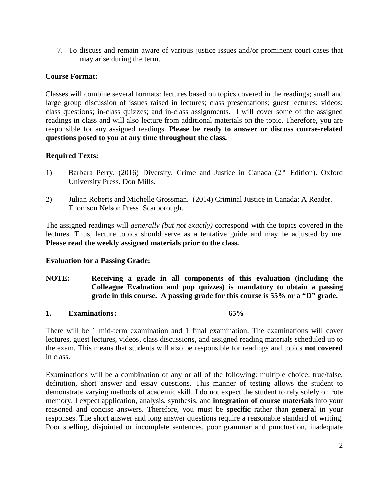7. To discuss and remain aware of various justice issues and/or prominent court cases that may arise during the term.

# **Course Format:**

Classes will combine several formats: lectures based on topics covered in the readings; small and large group discussion of issues raised in lectures; class presentations; guest lectures; videos; class questions; in-class quizzes; and in-class assignments. I will cover some of the assigned readings in class and will also lecture from additional materials on the topic. Therefore, you are responsible for any assigned readings. **Please be ready to answer or discuss course-related questions posed to you at any time throughout the class.** 

# **Required Texts:**

- 1) Barbara Perry. (2016) Diversity, Crime and Justice in Canada (2<sup>nd</sup> Edition). Oxford University Press. Don Mills.
- 2) Julian Roberts and Michelle Grossman. (2014) Criminal Justice in Canada: A Reader. Thomson Nelson Press. Scarborough.

The assigned readings will *generally (but not exactly)* correspond with the topics covered in the lectures. Thus, lecture topics should serve as a tentative guide and may be adjusted by me. **Please read the weekly assigned materials prior to the class.**

## **Evaluation for a Passing Grade:**

**NOTE: Receiving a grade in all components of this evaluation (including the Colleague Evaluation and pop quizzes) is mandatory to obtain a passing grade in this course. A passing grade for this course is 55% or a "D" grade.**

## **1. Examinations: 65%**

There will be 1 mid-term examination and 1 final examination. The examinations will cover lectures, guest lectures, videos, class discussions, and assigned reading materials scheduled up to the exam. This means that students will also be responsible for readings and topics **not covered** in class.

Examinations will be a combination of any or all of the following: multiple choice, true/false, definition, short answer and essay questions. This manner of testing allows the student to demonstrate varying methods of academic skill. I do not expect the student to rely solely on rote memory. I expect application, analysis, synthesis, and **integration of course materials** into your reasoned and concise answers. Therefore, you must be **specific** rather than **genera**l in your responses. The short answer and long answer questions require a reasonable standard of writing. Poor spelling, disjointed or incomplete sentences, poor grammar and punctuation, inadequate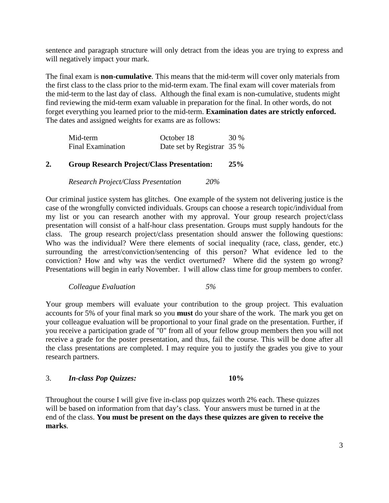sentence and paragraph structure will only detract from the ideas you are trying to express and will negatively impact your mark.

The final exam is **non-cumulative**. This means that the mid-term will cover only materials from the first class to the class prior to the mid-term exam. The final exam will cover materials from the mid-term to the last day of class. Although the final exam is non-cumulative, students might find reviewing the mid-term exam valuable in preparation for the final. In other words, do not forget everything you learned prior to the mid-term. **Examination dates are strictly enforced.** The dates and assigned weights for exams are as follows:

| Mid-term                 | October 18                 | 30 % |
|--------------------------|----------------------------|------|
| <b>Final Examination</b> | Date set by Registrar 35 % |      |

## **2. Group Research Project/Class Presentation: 25%**

*Research Project/Class Presentation 20%*

Our criminal justice system has glitches. One example of the system not delivering justice is the case of the wrongfully convicted individuals. Groups can choose a research topic/individual from my list or you can research another with my approval. Your group research project/class presentation will consist of a half-hour class presentation. Groups must supply handouts for the class. The group research project/class presentation should answer the following questions: Who was the individual? Were there elements of social inequality (race, class, gender, etc.) surrounding the arrest/conviction/sentencing of this person? What evidence led to the conviction? How and why was the verdict overturned? Where did the system go wrong? Presentations will begin in early November. I will allow class time for group members to confer.

#### *Colleague Evaluation 5%*

Your group members will evaluate your contribution to the group project. This evaluation accounts for 5% of your final mark so you **must** do your share of the work. The mark you get on your colleague evaluation will be proportional to your final grade on the presentation. Further, if you receive a participation grade of "0" from all of your fellow group members then you will not receive a grade for the poster presentation, and thus, fail the course. This will be done after all the class presentations are completed. I may require you to justify the grades you give to your research partners.

### 3. *In-class Pop Quizzes:* **10%**

Throughout the course I will give five in-class pop quizzes worth 2% each. These quizzes will be based on information from that day's class. Your answers must be turned in at the end of the class. **You must be present on the days these quizzes are given to receive the marks**.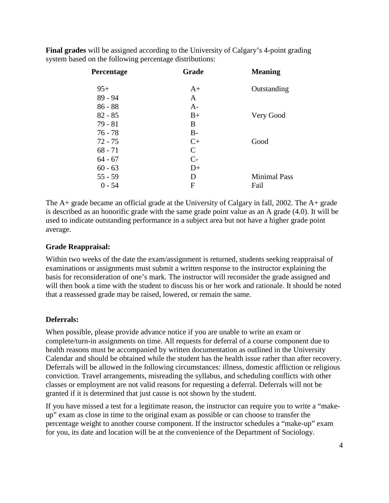| Percentage | Grade         | <b>Meaning</b>      |
|------------|---------------|---------------------|
| $95+$      | $A+$          | Outstanding         |
| 89 - 94    | A             |                     |
| $86 - 88$  | $A-$          |                     |
| $82 - 85$  | $B+$          | Very Good           |
| $79 - 81$  | B             |                     |
| 76 - 78    | $B-$          |                     |
| $72 - 75$  | $C+$          | Good                |
| $68 - 71$  | $\mathcal{C}$ |                     |
| $64 - 67$  | $C-$          |                     |
| $60 - 63$  | $D+$          |                     |
| $55 - 59$  | D             | <b>Minimal Pass</b> |
| $0 - 54$   | F             | Fail                |

**Final grades** will be assigned according to the University of Calgary's 4-point grading system based on the following percentage distributions:

The  $A_+$  grade became an official grade at the University of Calgary in fall, 2002. The  $A_+$  grade is described as an honorific grade with the same grade point value as an A grade (4.0). It will be used to indicate outstanding performance in a subject area but not have a higher grade point average.

## **Grade Reappraisal:**

Within two weeks of the date the exam/assignment is returned, students seeking reappraisal of examinations or assignments must submit a written response to the instructor explaining the basis for reconsideration of one's mark. The instructor will reconsider the grade assigned and will then book a time with the student to discuss his or her work and rationale. It should be noted that a reassessed grade may be raised, lowered, or remain the same.

### **Deferrals:**

When possible, please provide advance notice if you are unable to write an exam or complete/turn-in assignments on time. All requests for deferral of a course component due to health reasons must be accompanied by written documentation as outlined in the University Calendar and should be obtained while the student has the health issue rather than after recovery. Deferrals will be allowed in the following circumstances: illness, domestic affliction or religious conviction. Travel arrangements, misreading the syllabus, and scheduling conflicts with other classes or employment are not valid reasons for requesting a deferral. Deferrals will not be granted if it is determined that just cause is not shown by the student.

If you have missed a test for a legitimate reason, the instructor can require you to write a "makeup" exam as close in time to the original exam as possible or can choose to transfer the percentage weight to another course component. If the instructor schedules a "make-up" exam for you, its date and location will be at the convenience of the Department of Sociology.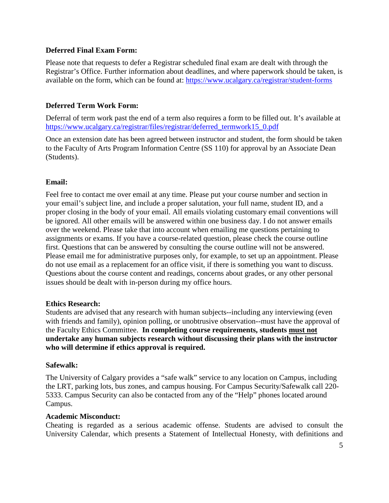## **Deferred Final Exam Form:**

Please note that requests to defer a Registrar scheduled final exam are dealt with through the Registrar's Office. Further information about deadlines, and where paperwork should be taken, is available on the form, which can be found at:<https://www.ucalgary.ca/registrar/student-forms>

## **Deferred Term Work Form:**

Deferral of term work past the end of a term also requires a form to be filled out. It's available at [https://www.ucalgary.ca/registrar/files/registrar/deferred\\_termwork15\\_0.pdf](https://www.ucalgary.ca/registrar/files/registrar/deferred_termwork15_0.pdf) 

Once an extension date has been agreed between instructor and student, the form should be taken to the Faculty of Arts Program Information Centre (SS 110) for approval by an Associate Dean (Students).

## **Email:**

Feel free to contact me over email at any time. Please put your course number and section in your email's subject line, and include a proper salutation, your full name, student ID, and a proper closing in the body of your email. All emails violating customary email conventions will be ignored. All other emails will be answered within one business day. I do not answer emails over the weekend. Please take that into account when emailing me questions pertaining to assignments or exams. If you have a course-related question, please check the course outline first. Questions that can be answered by consulting the course outline will not be answered. Please email me for administrative purposes only, for example, to set up an appointment. Please do not use email as a replacement for an office visit, if there is something you want to discuss. Questions about the course content and readings, concerns about grades, or any other personal issues should be dealt with in-person during my office hours.

### **Ethics Research:**

Students are advised that any research with human subjects--including any interviewing (even with friends and family), opinion polling, or unobtrusive observation--must have the approval of the Faculty Ethics Committee. **In completing course requirements, students must not undertake any human subjects research without discussing their plans with the instructor who will determine if ethics approval is required.**

### **Safewalk:**

The University of Calgary provides a "safe walk" service to any location on Campus, including the LRT, parking lots, bus zones, and campus housing. For Campus Security/Safewalk call 220- 5333. Campus Security can also be contacted from any of the "Help" phones located around Campus.

### **Academic Misconduct:**

Cheating is regarded as a serious academic offense. Students are advised to consult the University Calendar, which presents a Statement of Intellectual Honesty, with definitions and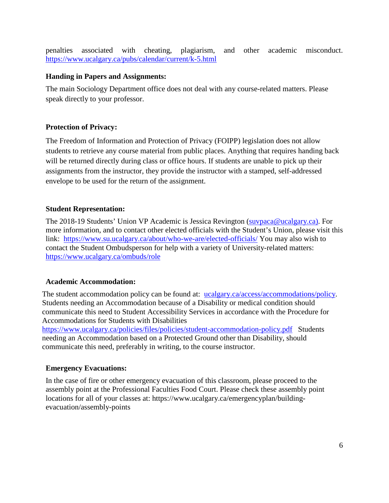penalties associated with cheating, plagiarism, and other academic misconduct. <https://www.ucalgary.ca/pubs/calendar/current/k-5.html>

## **Handing in Papers and Assignments:**

The main Sociology Department office does not deal with any course-related matters. Please speak directly to your professor.

## **Protection of Privacy:**

The Freedom of Information and Protection of Privacy (FOIPP) legislation does not allow students to retrieve any course material from public places. Anything that requires handing back will be returned directly during class or office hours. If students are unable to pick up their assignments from the instructor, they provide the instructor with a stamped, self-addressed envelope to be used for the return of the assignment.

## **Student Representation:**

The 2018-19 Students' Union VP Academic is Jessica Revington [\(suvpaca@ucalgary.ca\)](mailto:suvpaca@ucalgary.ca). For more information, and to contact other elected officials with the Student's Union, please visit this link: <https://www.su.ucalgary.ca/about/who-we-are/elected-officials/> You may also wish to contact the Student Ombudsperson for help with a variety of University-related matters: <https://www.ucalgary.ca/ombuds/role>

### **Academic Accommodation:**

The student accommodation policy can be found at: [ucalgary.ca/access/accommodations/policy.](http://www.ucalgary.ca/access/accommodations/policy) Students needing an Accommodation because of a Disability or medical condition should communicate this need to Student Accessibility Services in accordance with the Procedure for Accommodations for Students with Disabilities

<https://www.ucalgary.ca/policies/files/policies/student-accommodation-policy.pdf> Students needing an Accommodation based on a Protected Ground other than Disability, should communicate this need, preferably in writing, to the course instructor.

### **Emergency Evacuations:**

In the case of fire or other emergency evacuation of this classroom, please proceed to the assembly point at the Professional Faculties Food Court. Please check these assembly point locations for all of your classes at: https://www.ucalgary.ca/emergencyplan/buildingevacuation/assembly-points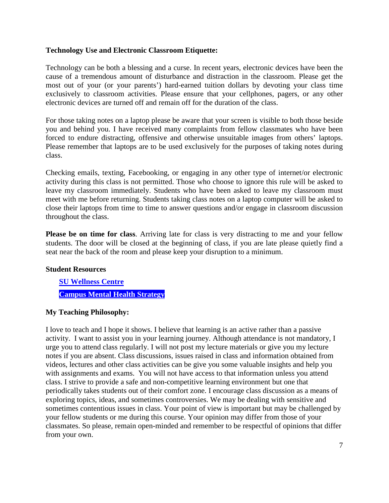### **Technology Use and Electronic Classroom Etiquette:**

Technology can be both a blessing and a curse. In recent years, electronic devices have been the cause of a tremendous amount of disturbance and distraction in the classroom. Please get the most out of your (or your parents') hard-earned tuition dollars by devoting your class time exclusively to classroom activities. Please ensure that your cellphones, pagers, or any other electronic devices are turned off and remain off for the duration of the class.

For those taking notes on a laptop please be aware that your screen is visible to both those beside you and behind you. I have received many complaints from fellow classmates who have been forced to endure distracting, offensive and otherwise unsuitable images from others' laptops. Please remember that laptops are to be used exclusively for the purposes of taking notes during class.

Checking emails, texting, Facebooking, or engaging in any other type of internet/or electronic activity during this class is not permitted. Those who choose to ignore this rule will be asked to leave my classroom immediately. Students who have been asked to leave my classroom must meet with me before returning. Students taking class notes on a laptop computer will be asked to close their laptops from time to time to answer questions and/or engage in classroom discussion throughout the class.

**Please be on time for class**. Arriving late for class is very distracting to me and your fellow students. The door will be closed at the beginning of class, if you are late please quietly find a seat near the back of the room and please keep your disruption to a minimum.

### **Student Resources**

**[SU Wellness Centre](http://www.ucalgary.ca/wellnesscentre/) [Campus Mental Health Strategy](https://www.ucalgary.ca/mentalhealth/)**

## **My Teaching Philosophy:**

I love to teach and I hope it shows. I believe that learning is an active rather than a passive activity. I want to assist you in your learning journey. Although attendance is not mandatory, I urge you to attend class regularly. I will not post my lecture materials or give you my lecture notes if you are absent. Class discussions, issues raised in class and information obtained from videos, lectures and other class activities can be give you some valuable insights and help you with assignments and exams. You will not have access to that information unless you attend class. I strive to provide a safe and non-competitive learning environment but one that periodically takes students out of their comfort zone. I encourage class discussion as a means of exploring topics, ideas, and sometimes controversies. We may be dealing with sensitive and sometimes contentious issues in class. Your point of view is important but may be challenged by your fellow students or me during this course. Your opinion may differ from those of your classmates. So please, remain open-minded and remember to be respectful of opinions that differ from your own.